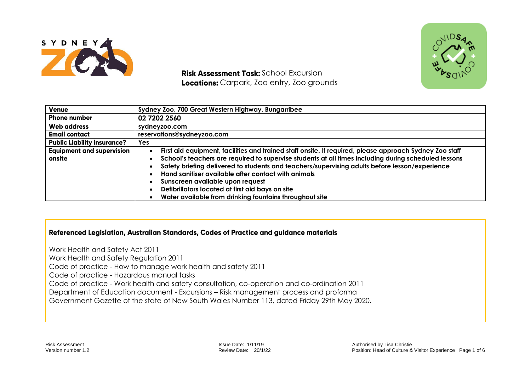

**Risk Assessment Task: School Excursion** Locations: Carpark, Zoo entry, Zoo grounds



| Venue                              | Sydney Zoo, 700 Great Western Highway, Bungarribee                                                      |  |  |  |  |
|------------------------------------|---------------------------------------------------------------------------------------------------------|--|--|--|--|
| <b>Phone number</b>                | 02 7202 2560                                                                                            |  |  |  |  |
| <b>Web address</b>                 | sydneyzoo.com                                                                                           |  |  |  |  |
| <b>Email contact</b>               | reservations@sydneyzoo.com                                                                              |  |  |  |  |
| <b>Public Liability insurance?</b> | <b>Yes</b>                                                                                              |  |  |  |  |
| <b>Equipment and supervision</b>   | First aid equipment, facilities and trained staff onsite. If required, please approach Sydney Zoo staff |  |  |  |  |
| onsite                             | School's teachers are required to supervise students at all times including during scheduled lessons    |  |  |  |  |
|                                    | Safety briefing delivered to students and teachers/supervising adults before lesson/experience          |  |  |  |  |
|                                    | Hand sanitiser available after contact with animals                                                     |  |  |  |  |
|                                    | Sunscreen available upon request                                                                        |  |  |  |  |
|                                    | Defibrillators located at first aid bays on site                                                        |  |  |  |  |
|                                    | Water available from drinking fountains throughout site                                                 |  |  |  |  |

## Referenced Legislation, Australian Standards, Codes of Practice and guidance materials

Work Health and Safety Act 2011 Work Health and Safety Regulation 2011 Code of practice - How to manage work health and safety 2011 Code of practice - Hazardous manual tasks Code of practice - Work health and safety consultation, co-operation and co-ordination 2011 Department of Education document - Excursions – Risk management process and proforma Government Gazette of the state of New South Wales Number 113, dated Friday 29th May 2020.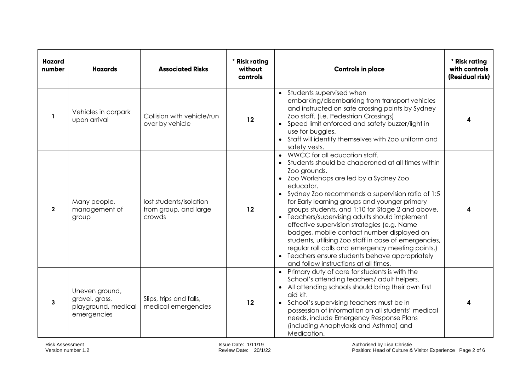| <b>Hazard</b><br>number | <b>Hazards</b>                                                         | <b>Associated Risks</b>                                    | * Risk rating<br>without<br>controls | <b>Controls in place</b>                                                                                                                                                                                                                                                                                                                                                                                                                                                                                                                                                                                                                                                           | * Risk rating<br>with controls<br>(Residual risk) |
|-------------------------|------------------------------------------------------------------------|------------------------------------------------------------|--------------------------------------|------------------------------------------------------------------------------------------------------------------------------------------------------------------------------------------------------------------------------------------------------------------------------------------------------------------------------------------------------------------------------------------------------------------------------------------------------------------------------------------------------------------------------------------------------------------------------------------------------------------------------------------------------------------------------------|---------------------------------------------------|
| $\mathbf{1}$            | Vehicles in carpark<br>upon arrival                                    | Collision with vehicle/run<br>over by vehicle              | 12                                   | • Students supervised when<br>embarking/disembarking from transport vehicles<br>and instructed on safe crossing points by Sydney<br>Zoo staff. (i.e. Pedestrian Crossings)<br>• Speed limit enforced and safety buzzer/light in<br>use for buggies.<br>• Staff will identify themselves with Zoo uniform and<br>safety vests.                                                                                                                                                                                                                                                                                                                                                      | 4                                                 |
| $\overline{2}$          | Many people,<br>management of<br>group                                 | lost students/isolation<br>from group, and large<br>crowds | 12                                   | • WWCC for all education staff.<br>• Students should be chaperoned at all times within<br>Zoo grounds.<br>• Zoo Workshops are led by a Sydney Zoo<br>educator.<br>• Sydney Zoo recommends a supervision ratio of 1:5<br>for Early learning groups and younger primary<br>groups students, and 1:10 for Stage 2 and above.<br>• Teachers/supervising adults should implement<br>effective supervision strategies (e.g. Name<br>badges, mobile contact number displayed on<br>students, utilising Zoo staff in case of emergencies,<br>regular roll calls and emergency meeting points.)<br>• Teachers ensure students behave appropriately<br>and follow instructions at all times. |                                                   |
| 3                       | Uneven ground,<br>gravel, grass,<br>playground, medical<br>emergencies | Slips, trips and falls,<br>medical emergencies             | 12                                   | • Primary duty of care for students is with the<br>School's attending teachers/ adult helpers.<br>• All attending schools should bring their own first<br>aid kit.<br>• School's supervising teachers must be in<br>possession of information on all students' medical<br>needs, include Emergency Response Plans<br>(including Anaphylaxis and Asthma) and<br>Medication.                                                                                                                                                                                                                                                                                                         |                                                   |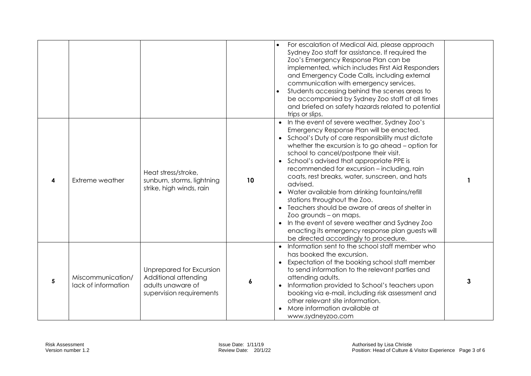|   |                                          |                                                                                                   |    | For escalation of Medical Aid, please approach<br>Sydney Zoo staff for assistance. If required the<br>Zoo's Emergency Response Plan can be<br>implemented, which includes First Aid Responders<br>and Emergency Code Calls, including external<br>communication with emergency services.<br>Students accessing behind the scenes areas to<br>be accompanied by Sydney Zoo staff at all times<br>and briefed on safety hazards related to potential<br>trips or slips.                                                                                                                                                                                                                                                    |   |
|---|------------------------------------------|---------------------------------------------------------------------------------------------------|----|--------------------------------------------------------------------------------------------------------------------------------------------------------------------------------------------------------------------------------------------------------------------------------------------------------------------------------------------------------------------------------------------------------------------------------------------------------------------------------------------------------------------------------------------------------------------------------------------------------------------------------------------------------------------------------------------------------------------------|---|
| 4 | <b>Extreme weather</b>                   | Heat stress/stroke,<br>sunburn, storms, lightning<br>strike, high winds, rain                     | 10 | In the event of severe weather, Sydney Zoo's<br>Emergency Response Plan will be enacted.<br>• School's Duty of care responsibility must dictate<br>whether the excursion is to go ahead - option for<br>school to cancel/postpone their visit.<br>• School's advised that appropriate PPE is<br>recommended for excursion - including, rain<br>coats, rest breaks, water, sunscreen, and hats<br>advised.<br>• Water available from drinking fountains/refill<br>stations throughout the Zoo.<br>Teachers should be aware of areas of shelter in<br>Zoo grounds - on maps.<br>In the event of severe weather and Sydney Zoo<br>enacting its emergency response plan guests will<br>be directed accordingly to procedure. |   |
| 5 | Miscommunication/<br>lack of information | Unprepared for Excursion<br>Additional attending<br>adults unaware of<br>supervision requirements | 6  | Information sent to the school staff member who<br>has booked the excursion.<br>Expectation of the booking school staff member<br>$\bullet$<br>to send information to the relevant parties and<br>attending adults.<br>Information provided to School's teachers upon<br>booking via e-mail, including risk assessment and<br>other relevant site information.<br>More information available at<br>www.sydneyzoo.com                                                                                                                                                                                                                                                                                                     | 3 |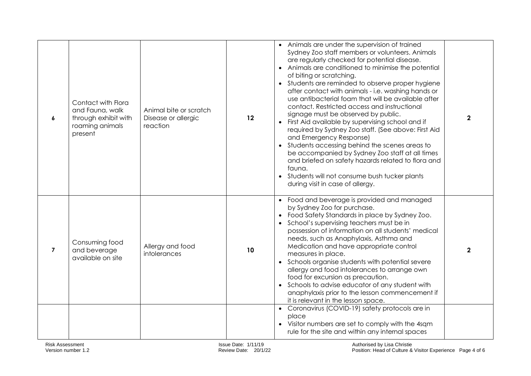| 6              | Contact with Flora<br>and Fauna, walk<br>through exhibit with<br>roaming animals<br>present | Animal bite or scratch<br>Disease or allergic<br>reaction | 12 | • Animals are under the supervision of trained<br>Sydney Zoo staff members or volunteers. Animals<br>are regularly checked for potential disease.<br>Animals are conditioned to minimise the potential<br>of biting or scratching.<br>Students are reminded to observe proper hygiene<br>after contact with animals - i.e. washing hands or<br>use antibacterial foam that will be available after<br>contact. Restricted access and instructional<br>signage must be observed by public.<br>First Aid available by supervising school and if<br>required by Sydney Zoo staff. (See above: First Aid<br>and Emergency Response)<br>• Students accessing behind the scenes areas to<br>be accompanied by Sydney Zoo staff at all times<br>and briefed on safety hazards related to flora and<br>fauna.<br>Students will not consume bush tucker plants<br>during visit in case of allergy. | $\mathbf{2}$ |
|----------------|---------------------------------------------------------------------------------------------|-----------------------------------------------------------|----|-------------------------------------------------------------------------------------------------------------------------------------------------------------------------------------------------------------------------------------------------------------------------------------------------------------------------------------------------------------------------------------------------------------------------------------------------------------------------------------------------------------------------------------------------------------------------------------------------------------------------------------------------------------------------------------------------------------------------------------------------------------------------------------------------------------------------------------------------------------------------------------------|--------------|
| $\overline{7}$ | Consuming food<br>and beverage<br>available on site                                         | Allergy and food<br>intolerances                          | 10 | Food and beverage is provided and managed<br>by Sydney Zoo for purchase.<br>Food Safety Standards in place by Sydney Zoo.<br>School's supervising teachers must be in<br>possession of information on all students' medical<br>needs, such as Anaphylaxis, Asthma and<br>Medication and have appropriate control<br>measures in place.<br>Schools organise students with potential severe<br>allergy and food intolerances to arrange own<br>food for excursion as precaution.<br>Schools to advise educator of any student with<br>anaphylaxis prior to the lesson commencement if<br>it is relevant in the lesson space.                                                                                                                                                                                                                                                                | $\mathbf{2}$ |
|                |                                                                                             |                                                           |    | Coronavirus (COVID-19) safety protocols are in<br>place<br>Visitor numbers are set to comply with the 4sqm<br>rule for the site and within any internal spaces                                                                                                                                                                                                                                                                                                                                                                                                                                                                                                                                                                                                                                                                                                                            |              |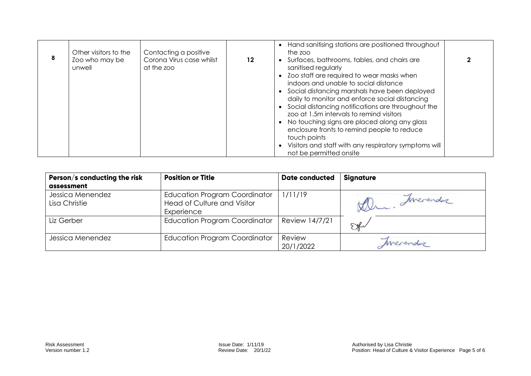| 8 | Other visitors to the<br>Zoo who may be<br>unwell | Contacting a positive<br>Corona Virus case whilst<br>at the zoo | $12 \,$ | • Hand sanitising stations are positioned throughout<br>the zoo<br>• Surfaces, bathrooms, tables, and chairs are<br>sanitised regularly<br>• Zoo staff are required to wear masks when<br>indoors and unable to social distance                                                                                                                                                                              |  |
|---|---------------------------------------------------|-----------------------------------------------------------------|---------|--------------------------------------------------------------------------------------------------------------------------------------------------------------------------------------------------------------------------------------------------------------------------------------------------------------------------------------------------------------------------------------------------------------|--|
|   |                                                   |                                                                 |         | • Social distancing marshals have been deployed<br>daily to monitor and enforce social distancing<br>• Social distancing notifications are throughout the<br>zoo at 1.5m intervals to remind visitors<br>• No touching signs are placed along any glass<br>enclosure fronts to remind people to reduce<br>touch points<br>• Visitors and staff with any respiratory symptoms will<br>not be permitted onsite |  |

| Person/s conducting the risk      | <b>Position or Title</b>                                                                 | <b>Date conducted</b> | <b>Signature</b> |
|-----------------------------------|------------------------------------------------------------------------------------------|-----------------------|------------------|
| assessment                        |                                                                                          |                       |                  |
| Jessica Menendez<br>Lisa Christie | <b>Education Program Coordinator</b><br><b>Head of Culture and Visitor</b><br>Experience | 1/11/19               | Imerender        |
| Liz Gerber                        | <b>Education Program Coordinator</b>                                                     | Review 14/7/21        | FM               |
| Jessica Menendez                  | <b>Education Program Coordinator</b>                                                     | Review<br>20/1/2022   | Merendez         |